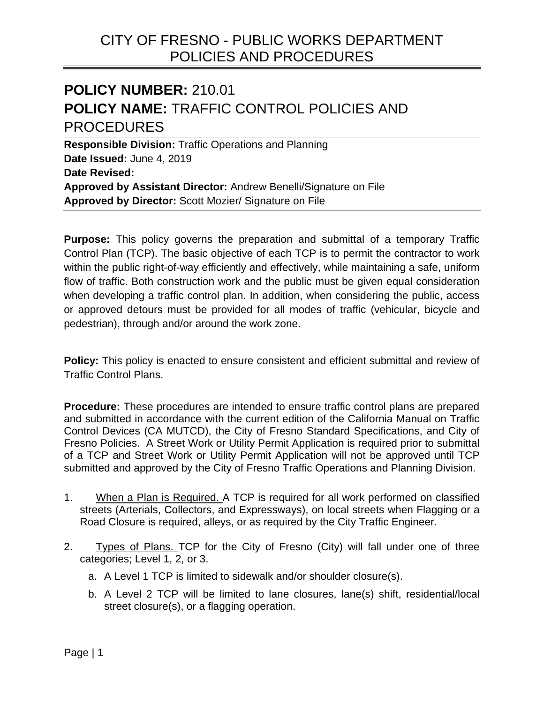# CITY OF FRESNO - PUBLIC WORKS DEPARTMENT POLICIES AND PROCEDURES

# **POLICY NUMBER:** 210.01 **POLICY NAME:** TRAFFIC CONTROL POLICIES AND PROCEDURES

**Responsible Division:** Traffic Operations and Planning **Date Issued:** June 4, 2019 **Date Revised: Approved by Assistant Director:** Andrew Benelli/Signature on File **Approved by Director:** Scott Mozier/ Signature on File

**Purpose:** This policy governs the preparation and submittal of a temporary Traffic Control Plan (TCP). The basic objective of each TCP is to permit the contractor to work within the public right-of-way efficiently and effectively, while maintaining a safe, uniform flow of traffic. Both construction work and the public must be given equal consideration when developing a traffic control plan. In addition, when considering the public, access or approved detours must be provided for all modes of traffic (vehicular, bicycle and pedestrian), through and/or around the work zone.

 Traffic Control Plans. **Policy:** This policy is enacted to ensure consistent and efficient submittal and review of

**Procedure:** These procedures are intended to ensure traffic control plans are prepared and submitted in accordance with the current edition of the California Manual on Traffic Control Devices (CA MUTCD), the City of Fresno Standard Specifications, and City of Fresno Policies. A Street Work or Utility Permit Application is required prior to submittal of a TCP and Street Work or Utility Permit Application will not be approved until TCP submitted and approved by the City of Fresno Traffic Operations and Planning Division.

- 1. When a Plan is Required. A TCP is required for all work performed on classified streets (Arterials, Collectors, and Expressways), on local streets when Flagging or a Road Closure is required, alleys, or as required by the City Traffic Engineer.
- 2. Types of Plans. TCP for the City of Fresno (City) will fall under one of three categories; Level 1, 2, or 3.
	- a. A Level 1 TCP is limited to sidewalk and/or shoulder closure(s).
	- b. A Level 2 TCP will be limited to lane closures, lane(s) shift, residential/local street closure(s), or a flagging operation.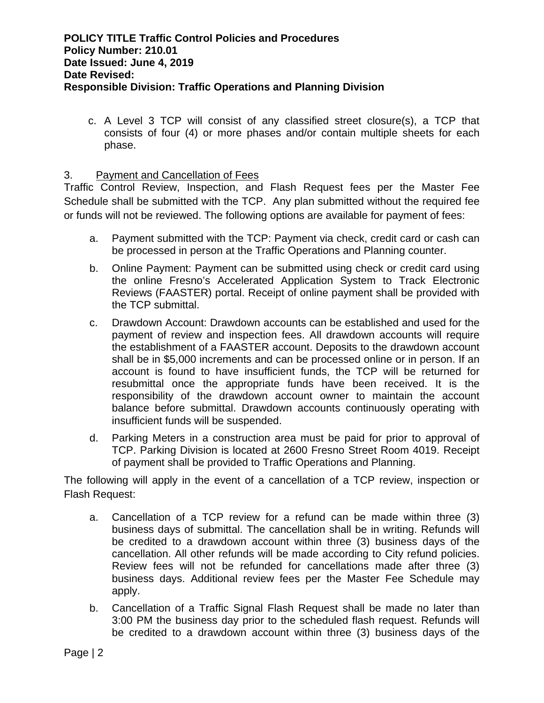c. A Level 3 TCP will consist of any classified street closure(s), a TCP that consists of four (4) or more phases and/or contain multiple sheets for each phase.

# 3. Payment and Cancellation of Fees

Traffic Control Review, Inspection, and Flash Request fees per the Master Fee Schedule shall be submitted with the TCP. Any plan submitted without the required fee or funds will not be reviewed. The following options are available for payment of fees:

- a. Payment submitted with the TCP: Payment via check, credit card or cash can be processed in person at the Traffic Operations and Planning counter.
- b. Online Payment: Payment can be submitted using check or credit card using the online Fresno's Accelerated Application System to Track Electronic Reviews (FAASTER) portal. Receipt of online payment shall be provided with the TCP submittal.
- c. Drawdown Account: Drawdown accounts can be established and used for the payment of review and inspection fees. All drawdown accounts will require the establishment of a FAASTER account. Deposits to the drawdown account shall be in \$5,000 increments and can be processed online or in person. If an account is found to have insufficient funds, the TCP will be returned for resubmittal once the appropriate funds have been received. It is the responsibility of the drawdown account owner to maintain the account balance before submittal. Drawdown accounts continuously operating with insufficient funds will be suspended.
- d. Parking Meters in a construction area must be paid for prior to approval of TCP. Parking Division is located at 2600 Fresno Street Room 4019. Receipt of payment shall be provided to Traffic Operations and Planning.

The following will apply in the event of a cancellation of a TCP review, inspection or Flash Request:

- a. Cancellation of a TCP review for a refund can be made within three (3) business days of submittal. The cancellation shall be in writing. Refunds will be credited to a drawdown account within three (3) business days of the cancellation. All other refunds will be made according to City refund policies. Review fees will not be refunded for cancellations made after three (3) business days. Additional review fees per the Master Fee Schedule may apply.
- b. Cancellation of a Traffic Signal Flash Request shall be made no later than 3:00 PM the business day prior to the scheduled flash request. Refunds will be credited to a drawdown account within three (3) business days of the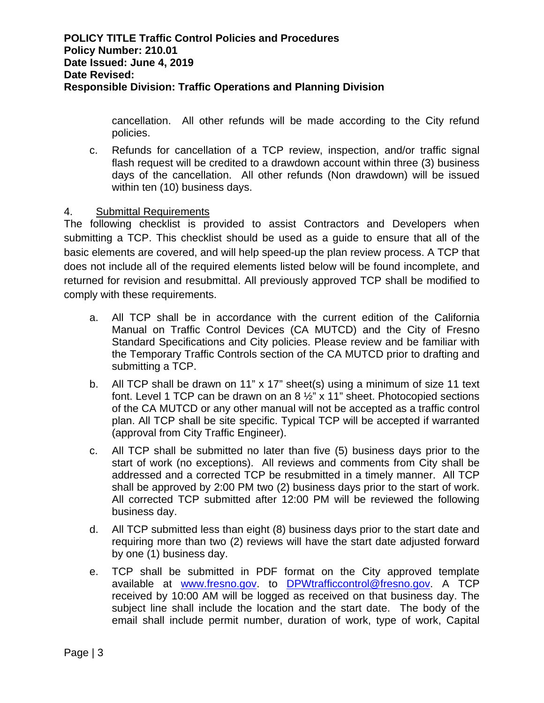cancellation. All other refunds will be made according to the City refund policies.

c. Refunds for cancellation of a TCP review, inspection, and/or traffic signal flash request will be credited to a drawdown account within three (3) business days of the cancellation. All other refunds (Non drawdown) will be issued within ten (10) business days.

# 4. Submittal Requirements

The following checklist is provided to assist Contractors and Developers when submitting a TCP. This checklist should be used as a guide to ensure that all of the basic elements are covered, and will help speed-up the plan review process. A TCP that does not include all of the required elements listed below will be found incomplete, and returned for revision and resubmittal. All previously approved TCP shall be modified to comply with these requirements.

- a. All TCP shall be in accordance with the current edition of the California Manual on Traffic Control Devices (CA MUTCD) and the City of Fresno Standard Specifications and City policies. Please review and be familiar with the Temporary Traffic Controls section of the CA MUTCD prior to drafting and submitting a TCP.
- b. All TCP shall be drawn on 11" x 17" sheet(s) using a minimum of size 11 text font. Level 1 TCP can be drawn on an 8 ½" x 11" sheet. Photocopied sections of the CA MUTCD or any other manual will not be accepted as a traffic control plan. All TCP shall be site specific. Typical TCP will be accepted if warranted (approval from City Traffic Engineer).
- c. All TCP shall be submitted no later than five (5) business days prior to the start of work (no exceptions). All reviews and comments from City shall be addressed and a corrected TCP be resubmitted in a timely manner. All TCP shall be approved by 2:00 PM two (2) business days prior to the start of work. All corrected TCP submitted after 12:00 PM will be reviewed the following business day.
- d. All TCP submitted less than eight (8) business days prior to the start date and requiring more than two (2) reviews will have the start date adjusted forward by one (1) business day.
- e. TCP shall be submitted in PDF format on the City approved template available at www.fresno.gov. to DPWtrafficcontrol@fresno.gov. A TCP received by 10:00 AM will be logged as received on that business day. The subject line shall include the location and the start date. The body of the email shall include permit number, duration of work, type of work, Capital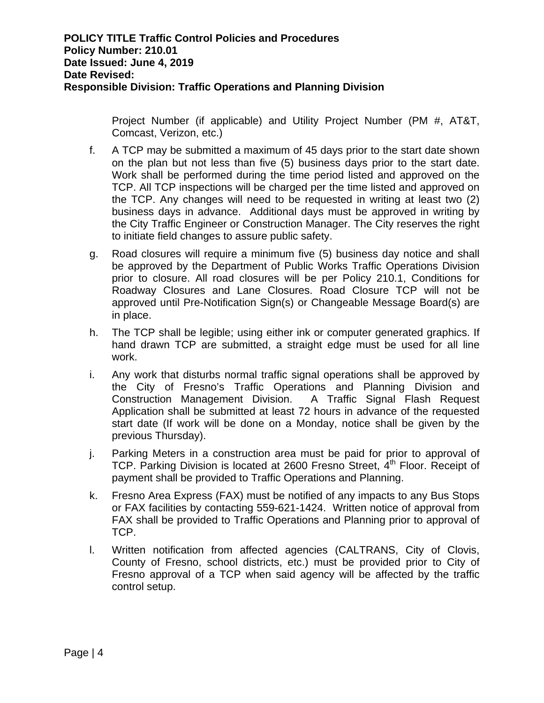Project Number (if applicable) and Utility Project Number (PM #, AT&T, Comcast, Verizon, etc.)

- f. A TCP may be submitted a maximum of 45 days prior to the start date shown on the plan but not less than five (5) business days prior to the start date. Work shall be performed during the time period listed and approved on the TCP. All TCP inspections will be charged per the time listed and approved on the TCP. Any changes will need to be requested in writing at least two (2) business days in advance. Additional days must be approved in writing by the City Traffic Engineer or Construction Manager. The City reserves the right to initiate field changes to assure public safety.
- g. Road closures will require a minimum five (5) business day notice and shall be approved by the Department of Public Works Traffic Operations Division prior to closure. All road closures will be per Policy 210.1, Conditions for Roadway Closures and Lane Closures. Road Closure TCP will not be approved until Pre-Notification Sign(s) or Changeable Message Board(s) are in place.
- h. The TCP shall be legible; using either ink or computer generated graphics. If hand drawn TCP are submitted, a straight edge must be used for all line work.
- i. Any work that disturbs normal traffic signal operations shall be approved by the City of Fresno's Traffic Operations and Planning Division and Construction Management Division. A Traffic Signal Flash Request Application shall be submitted at least 72 hours in advance of the requested start date (If work will be done on a Monday, notice shall be given by the previous Thursday).
- j. Parking Meters in a construction area must be paid for prior to approval of TCP. Parking Division is located at 2600 Fresno Street, 4<sup>th</sup> Floor. Receipt of payment shall be provided to Traffic Operations and Planning.
- k. Fresno Area Express (FAX) must be notified of any impacts to any Bus Stops or FAX facilities by contacting 559-621-1424. Written notice of approval from FAX shall be provided to Traffic Operations and Planning prior to approval of TCP.
- l. Written notification from affected agencies (CALTRANS, City of Clovis, County of Fresno, school districts, etc.) must be provided prior to City of Fresno approval of a TCP when said agency will be affected by the traffic control setup.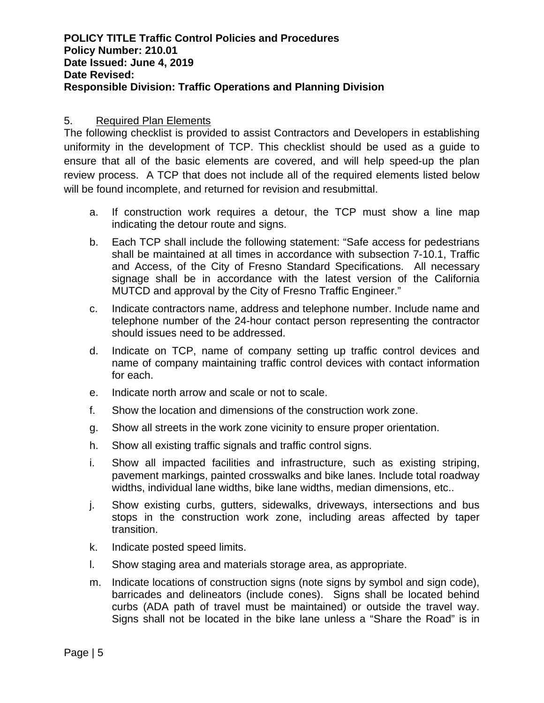## **POLICY TITLE Traffic Control Policies and Procedures Policy Number: 210.01 Date Issued: June 4, 2019 Date Revised: Responsible Division: Traffic Operations and Planning Division**

### 5. Required Plan Elements

The following checklist is provided to assist Contractors and Developers in establishing uniformity in the development of TCP. This checklist should be used as a guide to ensure that all of the basic elements are covered, and will help speed-up the plan review process. A TCP that does not include all of the required elements listed below will be found incomplete, and returned for revision and resubmittal.

- a. If construction work requires a detour, the TCP must show a line map indicating the detour route and signs.
- b. Each TCP shall include the following statement: "Safe access for pedestrians shall be maintained at all times in accordance with subsection 7-10.1, Traffic and Access, of the City of Fresno Standard Specifications. All necessary signage shall be in accordance with the latest version of the California MUTCD and approval by the City of Fresno Traffic Engineer."
- c. Indicate contractors name, address and telephone number. Include name and telephone number of the 24-hour contact person representing the contractor should issues need to be addressed.
- d. Indicate on TCP, name of company setting up traffic control devices and name of company maintaining traffic control devices with contact information for each.
- e. Indicate north arrow and scale or not to scale.
- f. Show the location and dimensions of the construction work zone.
- g. Show all streets in the work zone vicinity to ensure proper orientation.
- h. Show all existing traffic signals and traffic control signs.
- i. Show all impacted facilities and infrastructure, such as existing striping, pavement markings, painted crosswalks and bike lanes. Include total roadway widths, individual lane widths, bike lane widths, median dimensions, etc..
- j. Show existing curbs, gutters, sidewalks, driveways, intersections and bus stops in the construction work zone, including areas affected by taper transition.
- k. Indicate posted speed limits.
- l. Show staging area and materials storage area, as appropriate.
- m. Indicate locations of construction signs (note signs by symbol and sign code), barricades and delineators (include cones). Signs shall be located behind curbs (ADA path of travel must be maintained) or outside the travel way. Signs shall not be located in the bike lane unless a "Share the Road" is in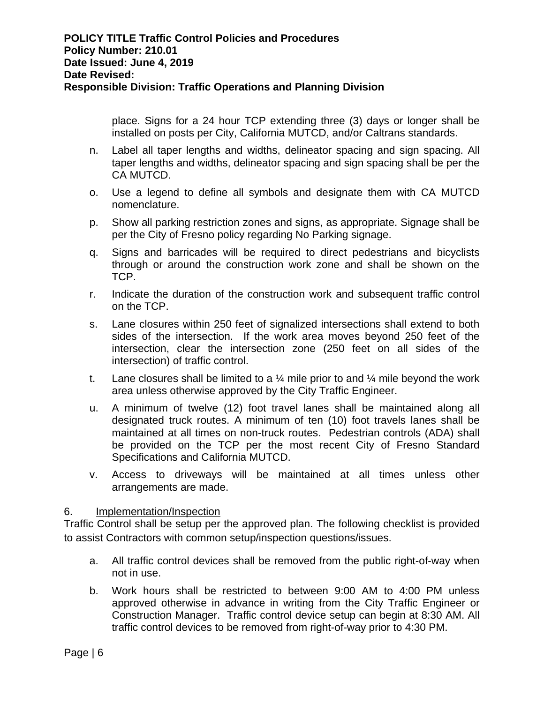place. Signs for a 24 hour TCP extending three (3) days or longer shall be installed on posts per City, California MUTCD, and/or Caltrans standards.

- n. Label all taper lengths and widths, delineator spacing and sign spacing. All taper lengths and widths, delineator spacing and sign spacing shall be per the CA MUTCD.
- o. Use a legend to define all symbols and designate them with CA MUTCD nomenclature.
- p. Show all parking restriction zones and signs, as appropriate. Signage shall be per the City of Fresno policy regarding No Parking signage.
- q. Signs and barricades will be required to direct pedestrians and bicyclists through or around the construction work zone and shall be shown on the TCP.
- r. Indicate the duration of the construction work and subsequent traffic control on the TCP.
- s. Lane closures within 250 feet of signalized intersections shall extend to both sides of the intersection. If the work area moves beyond 250 feet of the intersection, clear the intersection zone (250 feet on all sides of the intersection) of traffic control.
- t. Lane closures shall be limited to a  $\frac{1}{4}$  mile prior to and  $\frac{1}{4}$  mile beyond the work area unless otherwise approved by the City Traffic Engineer.
- u. A minimum of twelve (12) foot travel lanes shall be maintained along all designated truck routes. A minimum of ten (10) foot travels lanes shall be maintained at all times on non-truck routes. Pedestrian controls (ADA) shall be provided on the TCP per the most recent City of Fresno Standard Specifications and California MUTCD.
- v. Access to driveways will be maintained at all times unless other arrangements are made.

## 6. Implementation/Inspection

Traffic Control shall be setup per the approved plan. The following checklist is provided to assist Contractors with common setup/inspection questions/issues.

- a. All traffic control devices shall be removed from the public right-of-way when not in use.
- b. Work hours shall be restricted to between 9:00 AM to 4:00 PM unless approved otherwise in advance in writing from the City Traffic Engineer or Construction Manager. Traffic control device setup can begin at 8:30 AM. All traffic control devices to be removed from right-of-way prior to 4:30 PM.